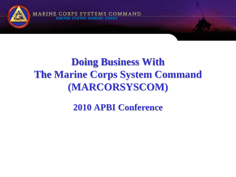

#### **Doing Business With The Marine Corps System Command (MARCORSYSCOM)**

**2010 APBI Conference**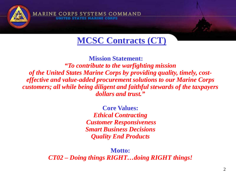

**MCSC Contracts (CT)**

**MARINE CORPS SYSTEMS COMMAND** 

**Mission Statement:** *"To contribute to the warfighting mission of the United States Marine Corps by providing quality, timely, costeffective and value-added procurement solutions to our Marine Corps customers; all while being diligent and faithful stewards of the taxpayers dollars and trust."*

> **Core Values:** *Ethical Contracting Customer Responsiveness Smart Business Decisions Quality End Products*

**Motto:** *CT02 – Doing things RIGHT…doing RIGHT things!*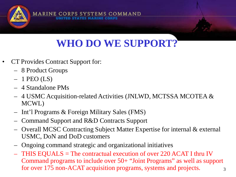

## **WHO DO WE SUPPORT?**

- CT Provides Contract Support for:
	- 8 Product Groups
	- $-1$  PEO (LS)
	- 4 Standalone PMs
	- 4 USMC Acquisition-related Activities (JNLWD, MCTSSA MCOTEA & MCWL)
	- Int'l Programs & Foreign Military Sales (FMS)
	- Command Support and R&D Contracts Support
	- Overall MCSC Contracting Subject Matter Expertise for internal & external USMC, DoN and DoD customers
	- Ongoing command strategic and organizational initiatives
	- THIS EQUALS = The contractual execution of over 220 ACAT I thru IV Command programs to include over 50+ "Joint Programs" as well as support for over 175 non-ACAT acquisition programs, systems and projects.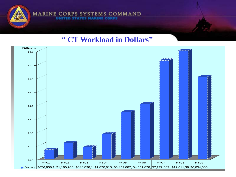

#### **" CT Workload in Dollars"**

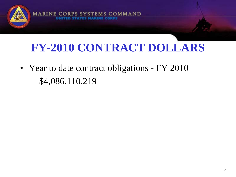# **FY-2010 CONTRACT DOLLARS**

**EMS COMMAND** 

• Year to date contract obligations - FY 2010  $-$  \$4,086,110,219

**MARINE CO**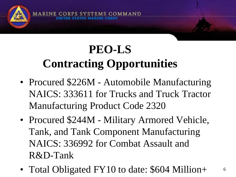

**MARINE CO** 

**COMMAND** 

- Procured \$226M Automobile Manufacturing NAICS: 333611 for Trucks and Truck Tractor Manufacturing Product Code 2320
- Procured \$244M Military Armored Vehicle, Tank, and Tank Component Manufacturing NAICS: 336992 for Combat Assault and R&D-Tank
- Total Obligated FY10 to date: \$604 Million+

6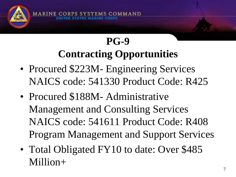

**MARINE C** 

## **PG-9 Contracting Opportunities**

OMMAND

- Procured \$223M- Engineering Services NAICS code: 541330 Product Code: R425
- Procured \$188M Administrative Management and Consulting Services NAICS code: 541611 Product Code: R408 Program Management and Support Services
- Total Obligated FY10 to date: Over \$485 Million+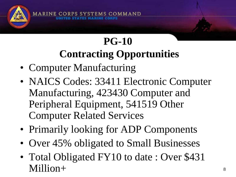**PG-10 Contracting Opportunities**

S COMMAND

• Computer Manufacturing

**MARINE CO** 

- NAICS Codes: 33411 Electronic Computer Manufacturing, 423430 Computer and Peripheral Equipment, 541519 Other Computer Related Services
- Primarily looking for ADP Components
- Over 45% obligated to Small Businesses
- Total Obligated FY10 to date: Over \$431 Million+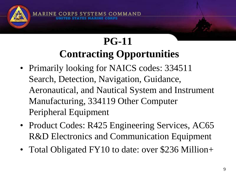COMMAND **MARINE CO** 

#### **PG-11 Contracting Opportunities**

- Primarily looking for NAICS codes: 334511 Search, Detection, Navigation, Guidance, Aeronautical, and Nautical System and Instrument Manufacturing, 334119 Other Computer Peripheral Equipment
- Product Codes: R425 Engineering Services, AC65 R&D Electronics and Communication Equipment
- Total Obligated FY10 to date: over \$236 Million+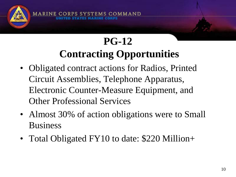

## **PG-12 Contracting Opportunities**

**S COMMAND** 

- Obligated contract actions for Radios, Printed Circuit Assemblies, Telephone Apparatus, Electronic Counter-Measure Equipment, and Other Professional Services
- Almost 30% of action obligations were to Small Business
- Total Obligated FY10 to date: \$220 Million+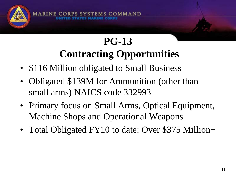

## **PG-13 Contracting Opportunities**

**S COMMAND** 

- \$116 Million obligated to Small Business
- Obligated \$139M for Ammunition (other than small arms) NAICS code 332993
- Primary focus on Small Arms, Optical Equipment, Machine Shops and Operational Weapons
- Total Obligated FY10 to date: Over \$375 Million+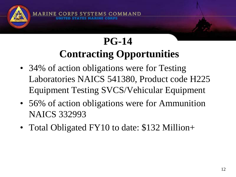

## **PG-14 Contracting Opportunities**

- 34% of action obligations were for Testing Laboratories NAICS 541380, Product code H225 Equipment Testing SVCS/Vehicular Equipment
- 56% of action obligations were for Ammunition NAICS 332993
- Total Obligated FY10 to date: \$132 Million+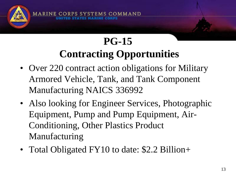

## **PG-15 Contracting Opportunities**

COMMAND

- Over 220 contract action obligations for Military Armored Vehicle, Tank, and Tank Component Manufacturing NAICS 336992
- Also looking for Engineer Services, Photographic Equipment, Pump and Pump Equipment, Air-Conditioning, Other Plastics Product Manufacturing
- Total Obligated FY10 to date: \$2.2 Billion+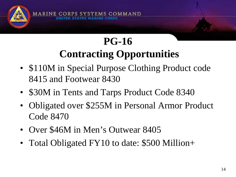

#### **PG-16 Contracting Opportunities**

- \$110M in Special Purpose Clothing Product code 8415 and Footwear 8430
- \$30M in Tents and Tarps Product Code 8340
- Obligated over \$255M in Personal Armor Product Code 8470
- Over \$46M in Men's Outwear 8405
- Total Obligated FY10 to date: \$500 Million+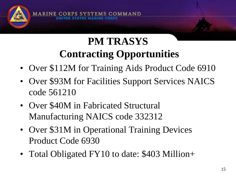

### **PM TRASYS Contracting Opportunities**

- Over \$112M for Training Aids Product Code 6910
- Over \$93M for Facilities Support Services NAICS code 561210
- Over \$40M in Fabricated Structural Manufacturing NAICS code 332312
- Over \$31M in Operational Training Devices Product Code 6930
- Total Obligated FY10 to date: \$403 Million+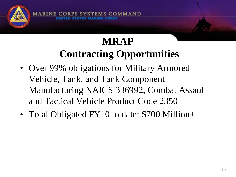

## **MRAP Contracting Opportunities**

**1S COMMAND** 

- Over 99% obligations for Military Armored Vehicle, Tank, and Tank Component Manufacturing NAICS 336992, Combat Assault and Tactical Vehicle Product Code 2350
- Total Obligated FY10 to date: \$700 Million+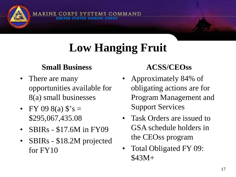## **Low Hanging Fruit**

#### **Small Business**

MARINE CORPS SYSTEMS COMMAND

- There are many opportunities available for 8(a) small businesses
- FY 09 8(a)  $\hat{s}$ 's = \$295,067,435.08
- SBIRs \$17.6M in FY09
- SBIRs \$18.2M projected for FY10

#### **ACSS/CEOss**

- Approximately 84% of obligating actions are for Program Management and Support Services
- Task Orders are issued to GSA schedule holders in the CEOss program
- Total Obligated FY 09: \$43M+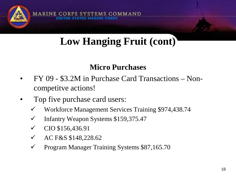

## **Low Hanging Fruit (cont)**

#### **Micro Purchases**

- FY 09 \$3.2M in Purchase Card Transactions Noncompetitve actions!
- Top five purchase card users:
	- Workforce Management Services Training \$974,438.74
	- Infantry Weapon Systems \$159,375.47
	- CIO \$156,436.91
	- AC F&S \$148,228.62
	- Program Manager Training Systems \$87,165.70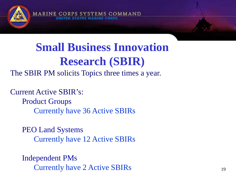

## **Small Business Innovation Research (SBIR)**

The SBIR PM solicits Topics three times a year.

Current Active SBIR's:

Product Groups Currently have 36 Active SBIRs

PEO Land Systems Currently have 12 Active SBIRs

Independent PMs Currently have 2 Active SBIRs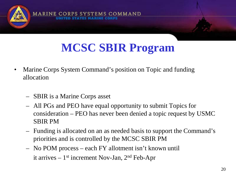

## **MCSC SBIR Program**

- Marine Corps System Command's position on Topic and funding allocation
	- SBIR is a Marine Corps asset
	- All PGs and PEO have equal opportunity to submit Topics for consideration – PEO has never been denied a topic request by USMC SBIR PM
	- Funding is allocated on an as needed basis to support the Command's priorities and is controlled by the MCSC SBIR PM
	- No POM process each FY allotment isn't known until it arrives  $-1$ <sup>st</sup> increment Nov-Jan,  $2<sup>nd</sup>$  Feb-Apr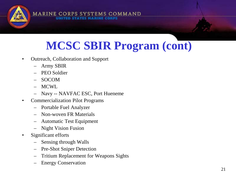

## **MCSC SBIR Program (cont)**

- Outreach, Collaboration and Support
	- Army SBIR
	- PEO Soldier
	- SOCOM
	- MCWL
	- Navy -- NAVFAC ESC, Port Hueneme
- Commercialization Pilot Programs
	- Portable Fuel Analyzer
	- Non-woven FR Materials
	- Automatic Test Equipment
	- Night Vision Fusion
- Significant efforts
	- Sensing through Walls
	- Pre-Shot Sniper Detection
	- Tritium Replacement for Weapons Sights
	- Energy Conservation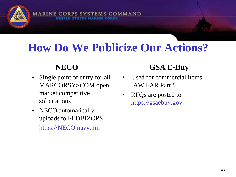## **How Do We Publicize Our Actions?**

**STEMS COMMAND** 

#### **NECO**

**MARINE CO** 

- Single point of entry for all MARCORSYSCOM open market competitive solicitations
- NECO automatically uploads to FEDBIZOPS https://NECO.navy.mil

#### **GSA E-Buy**

- Used for commercial items IAW FAR Part 8
- RFQs are posted to https://gsaebuy.gov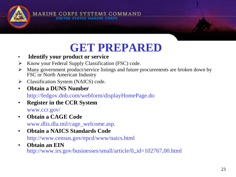

## **GET PREPARED**

- **Identify your product or service**
- $\triangleright$  Know your Federal Supply Classification (FSC) code.
- $\triangleright$  Many government product/service listings and future procurements are broken down by FSC or North American Industry
- > Classification System (NAICS) code.
- **Obtain a DUNS Number**  http://fedgov.dnb.com/webform/displayHomePage.do
- **Register in the CCR System**  www.ccr.gov/
- **Obtain a CAGE Code**  www.dlis.dla.mil/cage\_welcome.asp.
- **Obtain a NAICS Standards Code** http://www.census.gov/epcd/www/naics.html
- **Obtain an EIN**  http://www.irs.gov/businesses/small/article/0,,id=102767,00.html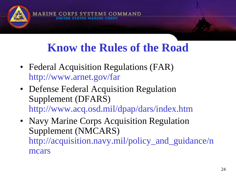## **Know the Rules of the Road**

COMMAND

• Federal Acquisition Regulations (FAR) http://www.arnet.gov/far

**MARINE C** 

- Defense Federal Acquisition Regulation Supplement (DFARS) http://www.acq.osd.mil/dpap/dars/index.htm
- Navy Marine Corps Acquisition Regulation Supplement (NMCARS) http://acquisition.navy.mil/policy\_and\_guidance/n mcars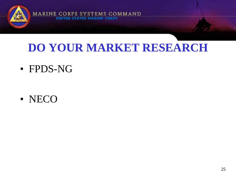

PS SYSTEMS COMMAND

### **DO YOUR MARKET RESEARCH**

• FPDS-NG

**MARINE COR** 

• NECO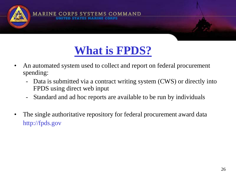

### **What is FPDS?**

- An automated system used to collect and report on federal procurement spending:
	- Data is submitted via a contract writing system (CWS) or directly into FPDS using direct web input
	- Standard and ad hoc reports are available to be run by individuals
- The single authoritative repository for federal procurement award data http://fpds.gov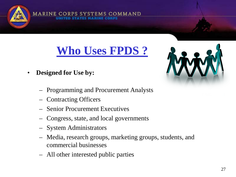

**EMS COMMAND** 

• **Designed for Use by:**

**MARINE CORPS SY** 

- Programming and Procurement Analysts
- Contracting Officers
- Senior Procurement Executives
- Congress, state, and local governments
- System Administrators
- Media, research groups, marketing groups, students, and commercial businesses
- All other interested public parties



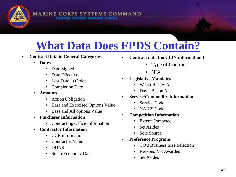# **What Data Does FPDS Contain?**

- **Contract Data in General Categories**
	- **Dates**
		- Date Signed
		- Date Effective
		- Last Date to Order
		- Completion Date
	- **Amounts**
		- Action Obligation
		- Base and Exercised Options Value

**MARINE CORPS SYSTEMS COMMAND** 

- Base and All options Value
- **Purchaser Information**
	- Contracting Office Information
- **Contractor Information**
	- CCR information
	- Contractor Name
	- DUNS
	- Socio/Economic Data
- **Contract data (no CLIN information.)**
	- Type of Contract
	- NIA
- **Legislative Mandates**
	- Walsh Healey Act
	- Davis Bacon Act
- **Service/Commodity Information**
	- Service Code
	- NAICS Code
- **Competition Information**
	- Extent Competed
	- Set Asides
	- Sole Source
- **Preference Programs**
	- CO's Business Size Selection
	- Reasons Not Awarded
	- Set Asides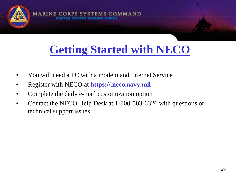

## **Getting Started with NECO**

- You will need a PC with a modem and Internet Service
- Register with NECO at **https://.neco.navy.mil**
- Complete the daily e-mail customization option
- Contact the NECO Help Desk at 1-800-503-6326 with questions or technical support issues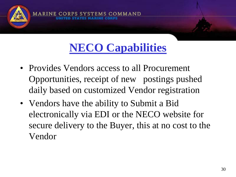

## **NECO Capabilities**

- Provides Vendors access to all Procurement Opportunities, receipt of new postings pushed daily based on customized Vendor registration
- Vendors have the ability to Submit a Bid electronically via EDI or the NECO website for secure delivery to the Buyer, this at no cost to the Vendor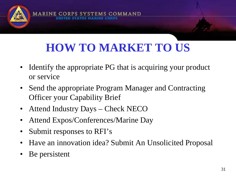## **HOW TO MARKET TO US**

**COMMAND** 

- Identify the appropriate PG that is acquiring your product or service
- Send the appropriate Program Manager and Contracting Officer your Capability Brief
- Attend Industry Days Check NECO
- Attend Expos/Conferences/Marine Day
- Submit responses to RFI's
- Have an innovation idea? Submit An Unsolicited Proposal
- Be persistent

**MARINE CO**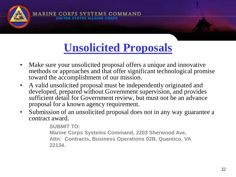

## **Unsolicited Proposals**

- Make sure your unsolicited proposal offers a unique and innovative methods or approaches and that offer significant technological promise toward the accomplishment of our mission.
- A valid unsolicited proposal must be independently originated and developed, prepared without Government supervision, and provides sufficient detail for Government review, but must not be an advance proposal for a known agency requirement.
- Submission of an unsolicited proposal does not in any way guarantee a contract award.

**SUBMIT TO: Marine Corps Systems Command, 2203 Sherwood Ave, Attn: Contracts, Business Operations 02B, Quantico, VA 22134.**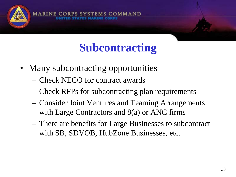## **Subcontracting**

**COMMAND** 

• Many subcontracting opportunities

**MARINE CO** 

- Check NECO for contract awards
- Check RFPs for subcontracting plan requirements
- Consider Joint Ventures and Teaming Arrangements with Large Contractors and 8(a) or ANC firms
- There are benefits for Large Businesses to subcontract with SB, SDVOB, HubZone Businesses, etc.